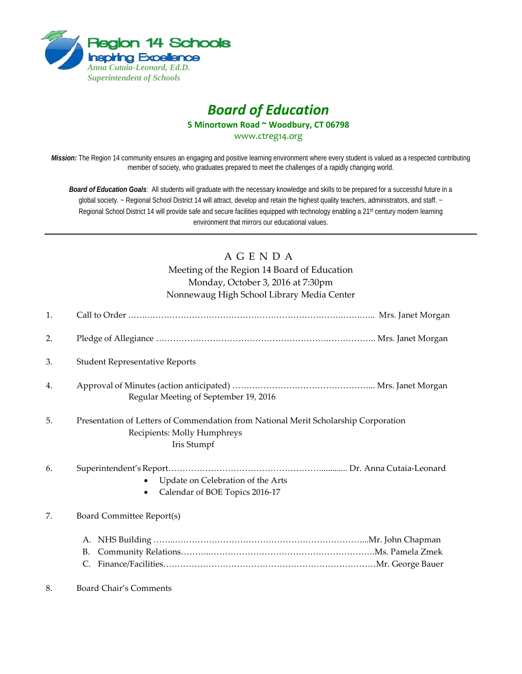

# *Board of Education* **5 Minortown Road ~ Woodbury, CT 06798** [www.ctreg14.org](http://www.ctreg14.org/)

*Mission:* The Region 14 community ensures an engaging and positive learning environment where every student is valued as a respected contributing member of society, who graduates prepared to meet the challenges of a rapidly changing world.

*Board of Education Goals:* All students will graduate with the necessary knowledge and skills to be prepared for a successful future in a global society. ~ Regional School District 14 will attract, develop and retain the highest quality teachers, administrators, and staff. ~ Regional School District 14 will provide safe and secure facilities equipped with technology enabling a 21<sup>st</sup> century modern learning environment that mirrors our educational values.

# A G E N D A

Meeting of the Region 14 Board of Education Monday, October 3, 2016 at 7:30pm Nonnewaug High School Library Media Center

| 1. |                                                                                                                                   |
|----|-----------------------------------------------------------------------------------------------------------------------------------|
| 2. |                                                                                                                                   |
| 3. | <b>Student Representative Reports</b>                                                                                             |
| 4. | Regular Meeting of September 19, 2016                                                                                             |
| 5. | Presentation of Letters of Commendation from National Merit Scholarship Corporation<br>Recipients: Molly Humphreys<br>Iris Stumpf |
| 6. | Update on Celebration of the Arts<br>Calendar of BOE Topics 2016-17                                                               |
| 7. | Board Committee Report(s)                                                                                                         |
|    | <b>B.</b><br>C.                                                                                                                   |
| 8. | <b>Board Chair's Comments</b>                                                                                                     |